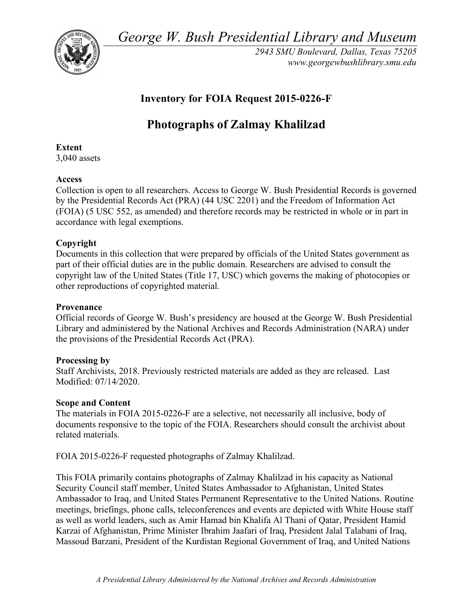*George W. Bush Presidential Library and Museum* 



*2943 SMU Boulevard, Dallas, Texas 75205 <www.georgewbushlibrary.smu.edu>* 

## **Inventory for FOIA Request 2015-0226-F**

# **Photographs of Zalmay Khalilzad**

## **Extent**

3,040 assets

## **Access**

 Collection is open to all researchers. Access to George W. Bush Presidential Records is governed by the Presidential Records Act (PRA) (44 USC 2201) and the Freedom of Information Act (FOIA) (5 USC 552, as amended) and therefore records may be restricted in whole or in part in accordance with legal exemptions.

## **Copyright**

 Documents in this collection that were prepared by officials of the United States government as part of their official duties are in the public domain. Researchers are advised to consult the copyright law of the United States (Title 17, USC) which governs the making of photocopies or other reproductions of copyrighted material.

### **Provenance**

 Official records of George W. Bush's presidency are housed at the George W. Bush Presidential Library and administered by the National Archives and Records Administration (NARA) under the provisions of the Presidential Records Act (PRA).

#### **Processing by**

 Staff Archivists, 2018. Previously restricted materials are added as they are released. Last Modified: 07/14/2020.

#### **Scope and Content**

 The materials in FOIA 2015-0226-F are a selective, not necessarily all inclusive, body of documents responsive to the topic of the FOIA. Researchers should consult the archivist about related materials.

FOIA 2015-0226-F requested photographs of Zalmay Khalilzad.

 This FOIA primarily contains photographs of Zalmay Khalilzad in his capacity as National Security Council staff member, United States Ambassador to Afghanistan, United States Ambassador to Iraq, and United States Permanent Representative to the United Nations. Routine meetings, briefings, phone calls, teleconferences and events are depicted with White House staff as well as world leaders, such as Amir Hamad bin Khalifa Al Thani of Qatar, President Hamid Karzai of Afghanistan, Prime Minister Ibrahim Jaafari of Iraq, President Jalal Talabani of Iraq, Massoud Barzani, President of the Kurdistan Regional Government of Iraq, and United Nations